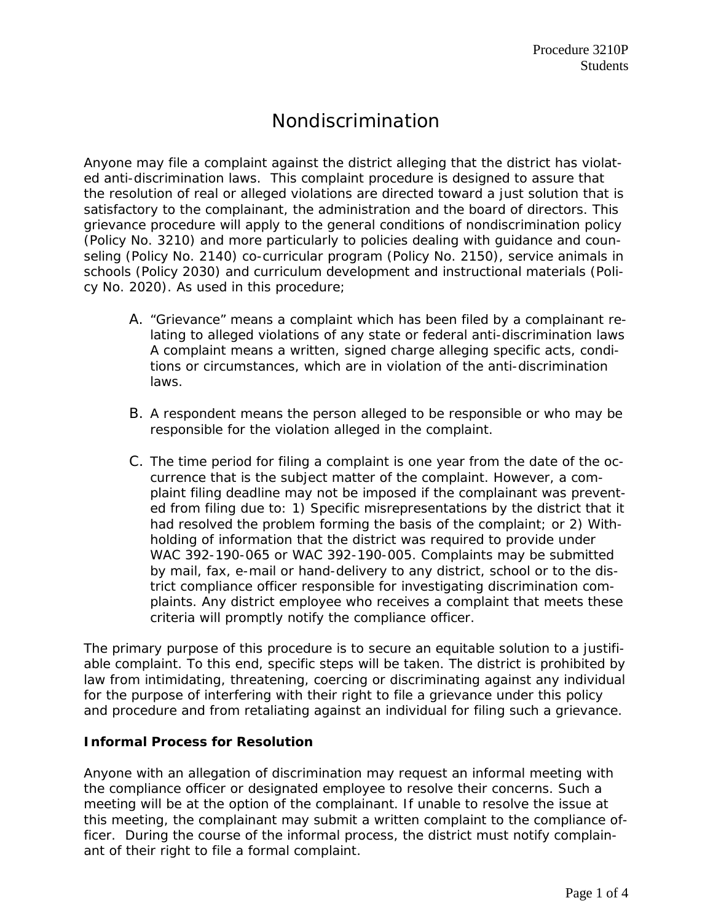# Nondiscrimination

Anyone may file a complaint against the district alleging that the district has violated anti-discrimination laws. This complaint procedure is designed to assure that the resolution of real or alleged violations are directed toward a just solution that is satisfactory to the complainant, the administration and the board of directors. This grievance procedure will apply to the general conditions of nondiscrimination policy (Policy No. 3210) and more particularly to policies dealing with guidance and counseling (Policy No. 2140) co-curricular program (Policy No. 2150), service animals in schools (Policy 2030) and curriculum development and instructional materials (Policy No. 2020). As used in this procedure;

- A. "Grievance" means a complaint which has been filed by a complainant relating to alleged violations of any state or federal anti-discrimination laws A complaint means a written, signed charge alleging specific acts, conditions or circumstances, which are in violation of the anti-discrimination laws.
- B. A respondent means the person alleged to be responsible or who may be responsible for the violation alleged in the complaint.
- C. The time period for filing a complaint is one year from the date of the occurrence that is the subject matter of the complaint. However, a complaint filing deadline may not be imposed if the complainant was prevented from filing due to: 1) Specific misrepresentations by the district that it had resolved the problem forming the basis of the complaint; or 2) Withholding of information that the district was required to provide under WAC 392-190-065 or WAC 392-190-005. Complaints may be submitted by mail, fax, e-mail or hand-delivery to any district, school or to the district compliance officer responsible for investigating discrimination complaints. Any district employee who receives a complaint that meets these criteria will promptly notify the compliance officer.

The primary purpose of this procedure is to secure an equitable solution to a justifiable complaint. To this end, specific steps will be taken. The district is prohibited by law from intimidating, threatening, coercing or discriminating against any individual for the purpose of interfering with their right to file a grievance under this policy and procedure and from retaliating against an individual for filing such a grievance.

## **Informal Process for Resolution**

Anyone with an allegation of discrimination may request an informal meeting with the compliance officer or designated employee to resolve their concerns. Such a meeting will be at the option of the complainant. If unable to resolve the issue at this meeting, the complainant may submit a written complaint to the compliance officer. During the course of the informal process, the district must notify complainant of their right to file a formal complaint.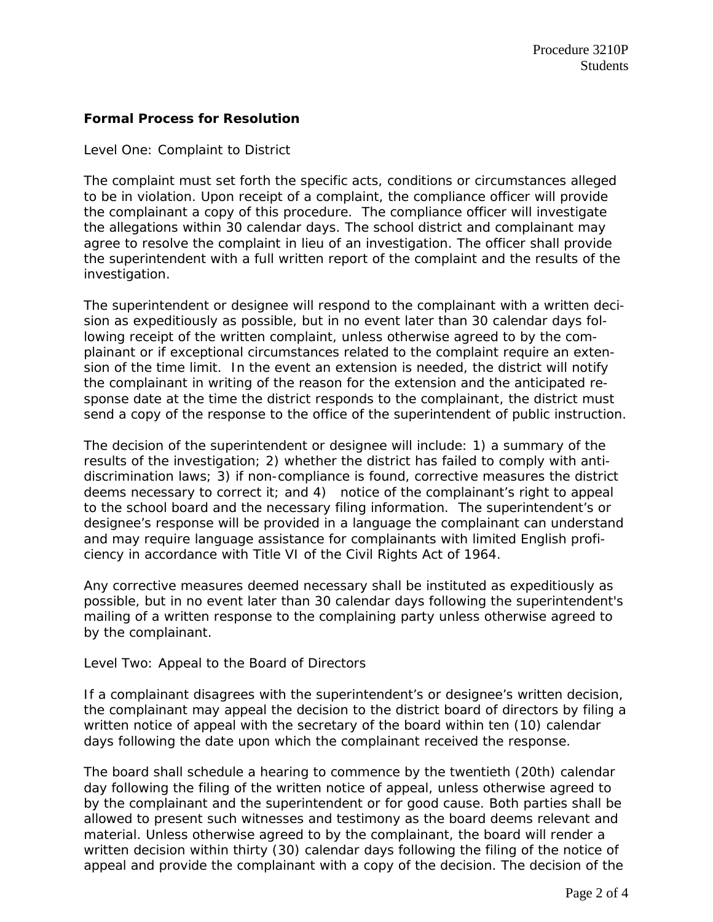# **Formal Process for Resolution**

Level One: Complaint to District

The complaint must set forth the specific acts, conditions or circumstances alleged to be in violation. Upon receipt of a complaint, the compliance officer will provide the complainant a copy of this procedure. The compliance officer will investigate the allegations within 30 calendar days. The school district and complainant may agree to resolve the complaint in lieu of an investigation. The officer shall provide the superintendent with a full written report of the complaint and the results of the investigation.

The superintendent or designee will respond to the complainant with a written decision as expeditiously as possible, but in no event later than 30 calendar days following receipt of the written complaint, unless otherwise agreed to by the complainant or if exceptional circumstances related to the complaint require an extension of the time limit. In the event an extension is needed, the district will notify the complainant in writing of the reason for the extension and the anticipated response date at the time the district responds to the complainant, the district must send a copy of the response to the office of the superintendent of public instruction.

The decision of the superintendent or designee will include: 1) a summary of the results of the investigation; 2) whether the district has failed to comply with antidiscrimination laws; 3) if non-compliance is found, corrective measures the district deems necessary to correct it; and 4) notice of the complainant's right to appeal to the school board and the necessary filing information. The superintendent's or designee's response will be provided in a language the complainant can understand and may require language assistance for complainants with limited English proficiency in accordance with Title VI of the Civil Rights Act of 1964.

Any corrective measures deemed necessary shall be instituted as expeditiously as possible, but in no event later than 30 calendar days following the superintendent's mailing of a written response to the complaining party unless otherwise agreed to by the complainant.

Level Two: Appeal to the Board of Directors

If a complainant disagrees with the superintendent's or designee's written decision, the complainant may appeal the decision to the district board of directors by filing a written notice of appeal with the secretary of the board within ten (10) calendar days following the date upon which the complainant received the response.

The board shall schedule a hearing to commence by the twentieth (20th) calendar day following the filing of the written notice of appeal, unless otherwise agreed to by the complainant and the superintendent or for good cause. Both parties shall be allowed to present such witnesses and testimony as the board deems relevant and material. Unless otherwise agreed to by the complainant, the board will render a written decision within thirty (30) calendar days following the filing of the notice of appeal and provide the complainant with a copy of the decision. The decision of the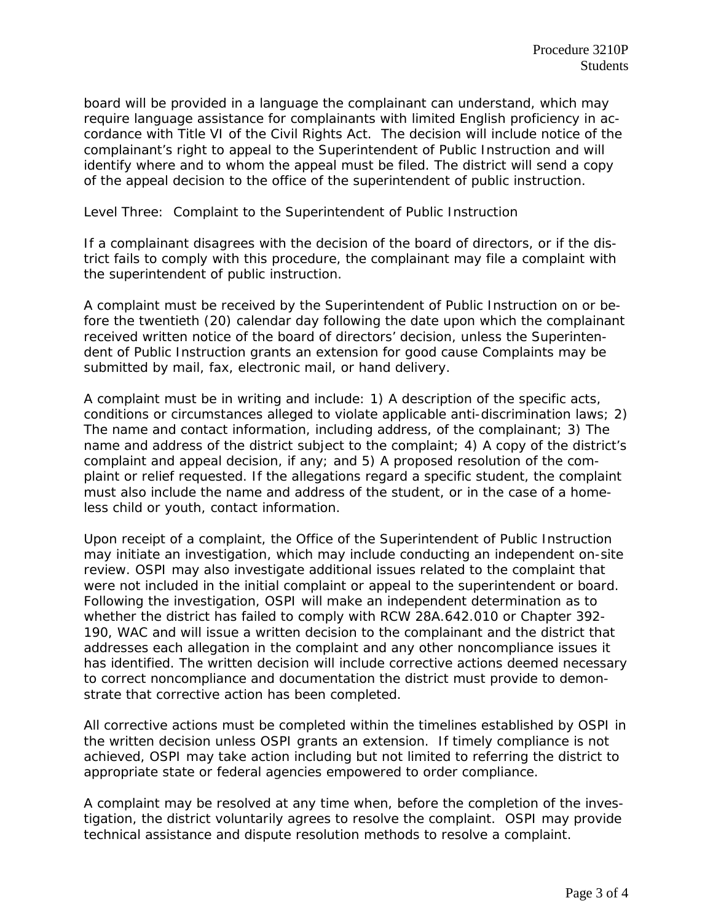board will be provided in a language the complainant can understand, which may require language assistance for complainants with limited English proficiency in accordance with Title VI of the Civil Rights Act. The decision will include notice of the complainant's right to appeal to the Superintendent of Public Instruction and will identify where and to whom the appeal must be filed. The district will send a copy of the appeal decision to the office of the superintendent of public instruction.

Level Three: Complaint to the Superintendent of Public Instruction

If a complainant disagrees with the decision of the board of directors, or if the district fails to comply with this procedure, the complainant may file a complaint with the superintendent of public instruction.

A complaint must be received by the Superintendent of Public Instruction on or before the twentieth (20) calendar day following the date upon which the complainant received written notice of the board of directors' decision, unless the Superintendent of Public Instruction grants an extension for good cause Complaints may be submitted by mail, fax, electronic mail, or hand delivery.

A complaint must be in writing and include: 1) A description of the specific acts, conditions or circumstances alleged to violate applicable anti-discrimination laws; 2) The name and contact information, including address, of the complainant; 3) The name and address of the district subject to the complaint; 4) A copy of the district's complaint and appeal decision, if any; and 5) A proposed resolution of the complaint or relief requested. If the allegations regard a specific student, the complaint must also include the name and address of the student, or in the case of a homeless child or youth, contact information.

Upon receipt of a complaint, the Office of the Superintendent of Public Instruction may initiate an investigation, which may include conducting an independent on-site review. OSPI may also investigate additional issues related to the complaint that were not included in the initial complaint or appeal to the superintendent or board. Following the investigation, OSPI will make an independent determination as to whether the district has failed to comply with RCW 28A.642.010 or Chapter 392- 190, WAC and will issue a written decision to the complainant and the district that addresses each allegation in the complaint and any other noncompliance issues it has identified. The written decision will include corrective actions deemed necessary to correct noncompliance and documentation the district must provide to demonstrate that corrective action has been completed.

All corrective actions must be completed within the timelines established by OSPI in the written decision unless OSPI grants an extension. If timely compliance is not achieved, OSPI may take action including but not limited to referring the district to appropriate state or federal agencies empowered to order compliance.

A complaint may be resolved at any time when, before the completion of the investigation, the district voluntarily agrees to resolve the complaint. OSPI may provide technical assistance and dispute resolution methods to resolve a complaint.